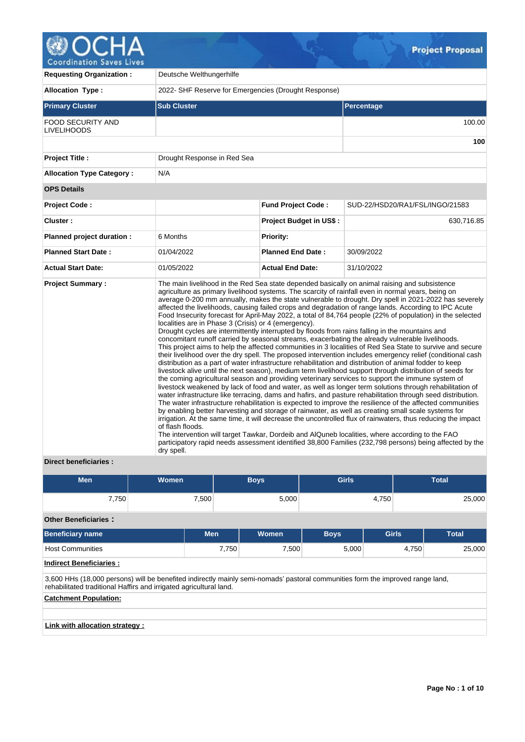

| <b>Requesting Organization:</b>                | Deutsche Welthungerhilfe                                                               |                                |                                                                                                                                                                                                                                                                                                                                                                                                                                                                                                                                                                                                                                                                                                                                                                                                                                                                                                                                                                                                                                                                                                                                                                                                                                                                                                                                                                                                                                                                                                                                                                                                                                                                                                                                                                                                                                                                                                                                                                                                                                                                              |  |  |  |  |  |  |
|------------------------------------------------|----------------------------------------------------------------------------------------|--------------------------------|------------------------------------------------------------------------------------------------------------------------------------------------------------------------------------------------------------------------------------------------------------------------------------------------------------------------------------------------------------------------------------------------------------------------------------------------------------------------------------------------------------------------------------------------------------------------------------------------------------------------------------------------------------------------------------------------------------------------------------------------------------------------------------------------------------------------------------------------------------------------------------------------------------------------------------------------------------------------------------------------------------------------------------------------------------------------------------------------------------------------------------------------------------------------------------------------------------------------------------------------------------------------------------------------------------------------------------------------------------------------------------------------------------------------------------------------------------------------------------------------------------------------------------------------------------------------------------------------------------------------------------------------------------------------------------------------------------------------------------------------------------------------------------------------------------------------------------------------------------------------------------------------------------------------------------------------------------------------------------------------------------------------------------------------------------------------------|--|--|--|--|--|--|
| <b>Allocation Type:</b>                        | 2022- SHF Reserve for Emergencies (Drought Response)                                   |                                |                                                                                                                                                                                                                                                                                                                                                                                                                                                                                                                                                                                                                                                                                                                                                                                                                                                                                                                                                                                                                                                                                                                                                                                                                                                                                                                                                                                                                                                                                                                                                                                                                                                                                                                                                                                                                                                                                                                                                                                                                                                                              |  |  |  |  |  |  |
| <b>Primary Cluster</b>                         | <b>Sub Cluster</b>                                                                     |                                | Percentage                                                                                                                                                                                                                                                                                                                                                                                                                                                                                                                                                                                                                                                                                                                                                                                                                                                                                                                                                                                                                                                                                                                                                                                                                                                                                                                                                                                                                                                                                                                                                                                                                                                                                                                                                                                                                                                                                                                                                                                                                                                                   |  |  |  |  |  |  |
| <b>FOOD SECURITY AND</b><br><b>LIVELIHOODS</b> |                                                                                        |                                | 100.00                                                                                                                                                                                                                                                                                                                                                                                                                                                                                                                                                                                                                                                                                                                                                                                                                                                                                                                                                                                                                                                                                                                                                                                                                                                                                                                                                                                                                                                                                                                                                                                                                                                                                                                                                                                                                                                                                                                                                                                                                                                                       |  |  |  |  |  |  |
|                                                |                                                                                        |                                | 100                                                                                                                                                                                                                                                                                                                                                                                                                                                                                                                                                                                                                                                                                                                                                                                                                                                                                                                                                                                                                                                                                                                                                                                                                                                                                                                                                                                                                                                                                                                                                                                                                                                                                                                                                                                                                                                                                                                                                                                                                                                                          |  |  |  |  |  |  |
| <b>Project Title:</b>                          | Drought Response in Red Sea                                                            |                                |                                                                                                                                                                                                                                                                                                                                                                                                                                                                                                                                                                                                                                                                                                                                                                                                                                                                                                                                                                                                                                                                                                                                                                                                                                                                                                                                                                                                                                                                                                                                                                                                                                                                                                                                                                                                                                                                                                                                                                                                                                                                              |  |  |  |  |  |  |
| <b>Allocation Type Category:</b>               | N/A                                                                                    |                                |                                                                                                                                                                                                                                                                                                                                                                                                                                                                                                                                                                                                                                                                                                                                                                                                                                                                                                                                                                                                                                                                                                                                                                                                                                                                                                                                                                                                                                                                                                                                                                                                                                                                                                                                                                                                                                                                                                                                                                                                                                                                              |  |  |  |  |  |  |
| <b>OPS Details</b>                             |                                                                                        |                                |                                                                                                                                                                                                                                                                                                                                                                                                                                                                                                                                                                                                                                                                                                                                                                                                                                                                                                                                                                                                                                                                                                                                                                                                                                                                                                                                                                                                                                                                                                                                                                                                                                                                                                                                                                                                                                                                                                                                                                                                                                                                              |  |  |  |  |  |  |
| <b>Project Code:</b>                           |                                                                                        | <b>Fund Project Code:</b>      | SUD-22/HSD20/RA1/FSL/INGO/21583                                                                                                                                                                                                                                                                                                                                                                                                                                                                                                                                                                                                                                                                                                                                                                                                                                                                                                                                                                                                                                                                                                                                                                                                                                                                                                                                                                                                                                                                                                                                                                                                                                                                                                                                                                                                                                                                                                                                                                                                                                              |  |  |  |  |  |  |
| Cluster:                                       |                                                                                        | <b>Project Budget in US\$:</b> | 630,716.85                                                                                                                                                                                                                                                                                                                                                                                                                                                                                                                                                                                                                                                                                                                                                                                                                                                                                                                                                                                                                                                                                                                                                                                                                                                                                                                                                                                                                                                                                                                                                                                                                                                                                                                                                                                                                                                                                                                                                                                                                                                                   |  |  |  |  |  |  |
| Planned project duration :                     | 6 Months                                                                               | Priority:                      |                                                                                                                                                                                                                                                                                                                                                                                                                                                                                                                                                                                                                                                                                                                                                                                                                                                                                                                                                                                                                                                                                                                                                                                                                                                                                                                                                                                                                                                                                                                                                                                                                                                                                                                                                                                                                                                                                                                                                                                                                                                                              |  |  |  |  |  |  |
| <b>Planned Start Date:</b>                     | 01/04/2022                                                                             | <b>Planned End Date:</b>       | 30/09/2022                                                                                                                                                                                                                                                                                                                                                                                                                                                                                                                                                                                                                                                                                                                                                                                                                                                                                                                                                                                                                                                                                                                                                                                                                                                                                                                                                                                                                                                                                                                                                                                                                                                                                                                                                                                                                                                                                                                                                                                                                                                                   |  |  |  |  |  |  |
| <b>Actual Start Date:</b>                      | 01/05/2022                                                                             | <b>Actual End Date:</b>        | 31/10/2022                                                                                                                                                                                                                                                                                                                                                                                                                                                                                                                                                                                                                                                                                                                                                                                                                                                                                                                                                                                                                                                                                                                                                                                                                                                                                                                                                                                                                                                                                                                                                                                                                                                                                                                                                                                                                                                                                                                                                                                                                                                                   |  |  |  |  |  |  |
| <b>Project Summary:</b>                        | localities are in Phase 3 (Crisis) or 4 (emergency).<br>of flash floods.<br>dry spell. |                                | The main livelihood in the Red Sea state depended basically on animal raising and subsistence<br>agriculture as primary livelihood systems. The scarcity of rainfall even in normal years, being on<br>average 0-200 mm annually, makes the state vulnerable to drought. Dry spell in 2021-2022 has severely<br>affected the livelihoods, causing failed crops and degradation of range lands. According to IPC Acute<br>Food Insecurity forecast for April-May 2022, a total of 84,764 people (22% of population) in the selected<br>Drought cycles are intermittently interrupted by floods from rains falling in the mountains and<br>concomitant runoff carried by seasonal streams, exacerbating the already vulnerable livelihoods.<br>This project aims to help the affected communities in 3 localities of Red Sea State to survive and secure<br>their livelihood over the dry spell. The proposed intervention includes emergency relief (conditional cash<br>distribution as a part of water infrastructure rehabilitation and distribution of animal fodder to keep<br>livestock alive until the next season), medium term livelihood support through distribution of seeds for<br>the coming agricultural season and providing veterinary services to support the immune system of<br>livestock weakened by lack of food and water, as well as longer term solutions through rehabilitation of<br>water infrastructure like terracing, dams and hafirs, and pasture rehabilitation through seed distribution.<br>The water infrastructure rehabilitation is expected to improve the resilience of the affected communities<br>by enabling better harvesting and storage of rainwater, as well as creating small scale systems for<br>irrigation. At the same time, it will decrease the uncontrolled flux of rainwaters, thus reducing the impact<br>The intervention will target Tawkar, Dordeib and AlQuneb localities, where according to the FAO<br>participatory rapid needs assessment identified 38,800 Families (232,798 persons) being affected by the |  |  |  |  |  |  |

# **Direct beneficiaries :**

| <b>Men</b>                      | Women                                                                                                                                                                                                |       | <b>Boys</b> | <b>Girls</b> |              |  | <b>Total</b> |  |  |  |
|---------------------------------|------------------------------------------------------------------------------------------------------------------------------------------------------------------------------------------------------|-------|-------------|--------------|--------------|--|--------------|--|--|--|
| 7,750                           | 7,500                                                                                                                                                                                                |       | 5,000       |              | 4,750        |  | 25,000       |  |  |  |
| <b>Other Beneficiaries:</b>     |                                                                                                                                                                                                      |       |             |              |              |  |              |  |  |  |
| <b>Beneficiary name</b>         | <b>Men</b>                                                                                                                                                                                           |       | Women       | <b>Boys</b>  | <b>Girls</b> |  | <b>Total</b> |  |  |  |
| <b>Host Communities</b>         |                                                                                                                                                                                                      | 7,750 | 7,500       | 5,000        | 4,750        |  | 25,000       |  |  |  |
| <b>Indirect Beneficiaries:</b>  |                                                                                                                                                                                                      |       |             |              |              |  |              |  |  |  |
|                                 | 3,600 HHs (18,000 persons) will be benefited indirectly mainly semi-nomads' pastoral communities form the improved range land,<br>rehabilitated traditional Haffirs and irrigated agricultural land. |       |             |              |              |  |              |  |  |  |
| <b>Catchment Population:</b>    |                                                                                                                                                                                                      |       |             |              |              |  |              |  |  |  |
|                                 |                                                                                                                                                                                                      |       |             |              |              |  |              |  |  |  |
| Link with allocation strategy : |                                                                                                                                                                                                      |       |             |              |              |  |              |  |  |  |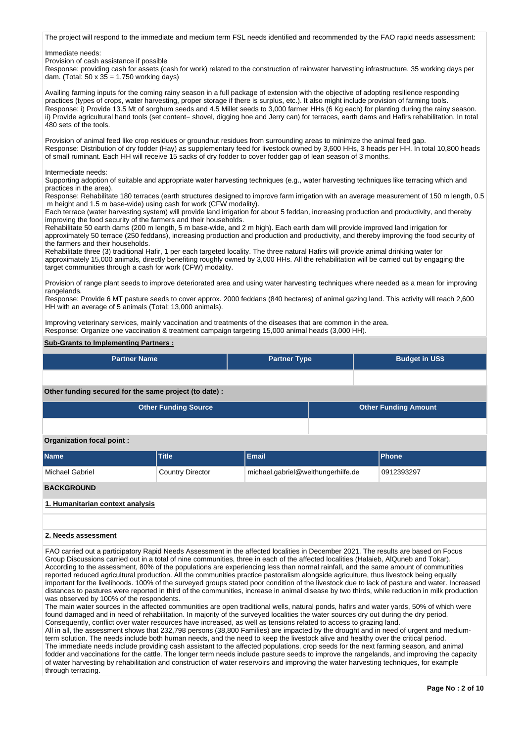The project will respond to the immediate and medium term FSL needs identified and recommended by the FAO rapid needs assessment:

Immediate needs:

Provision of cash assistance if possible

Response: providing cash for assets (cash for work) related to the construction of rainwater harvesting infrastructure. 35 working days per dam. (Total: 50 x  $35 = 1.750$  working days)

Availing farming inputs for the coming rainy season in a full package of extension with the objective of adopting resilience responding practices (types of crops, water harvesting, proper storage if there is surplus, etc.). It also might include provision of farming tools. Response: i) Provide 13.5 Mt of sorghum seeds and 4.5 Millet seeds to 3,000 farmer HHs (6 Kg each) for planting during the rainy season. ii) Provide agricultural hand tools (set content= shovel, digging hoe and Jerry can) for terraces, earth dams and Hafirs rehabilitation. In total 480 sets of the tools.

Provision of animal feed like crop residues or groundnut residues from surrounding areas to minimize the animal feed gap. Response: Distribution of dry fodder (Hay) as supplementary feed for livestock owned by 3,600 HHs, 3 heads per HH. In total 10,800 heads of small ruminant. Each HH will receive 15 sacks of dry fodder to cover fodder gap of lean season of 3 months.

Intermediate needs:

Supporting adoption of suitable and appropriate water harvesting techniques (e.g., water harvesting techniques like terracing which and practices in the area).

Response: Rehabilitate 180 terraces (earth structures designed to improve farm irrigation with an average measurement of 150 m length, 0.5 m height and 1.5 m base-wide) using cash for work (CFW modality).

Each terrace (water harvesting system) will provide land irrigation for about 5 feddan, increasing production and productivity, and thereby improving the food security of the farmers and their households.

Rehabilitate 50 earth dams (200 m length, 5 m base-wide, and 2 m high). Each earth dam will provide improved land irrigation for approximately 50 terrace (250 feddans), increasing production and production and productivity, and thereby improving the food security of the farmers and their households.

Rehabilitate three (3) traditional Hafir, 1 per each targeted locality. The three natural Hafirs will provide animal drinking water for approximately 15,000 animals, directly benefiting roughly owned by 3,000 HHs. All the rehabilitation will be carried out by engaging the target communities through a cash for work (CFW) modality.

Provision of range plant seeds to improve deteriorated area and using water harvesting techniques where needed as a mean for improving rangelands.

Response: Provide 6 MT pasture seeds to cover approx. 2000 feddans (840 hectares) of animal gazing land. This activity will reach 2,600 HH with an average of 5 animals (Total: 13,000 animals).

Improving veterinary services, mainly vaccination and treatments of the diseases that are common in the area. Response: Organize one vaccination & treatment campaign targeting 15,000 animal heads (3,000 HH).

# **Sub-Grants to Implementing Partners :**

| <b>Partner Name</b>                                                                                                                                                                                                                                                                                                                                                                                                                                                                                                                                                                                                                                                                                                                                                                                                                                                                                                                                                                                                                                                                                                                                                                                                                                                                                               |                             | <b>Partner Type</b>                |  | <b>Budget in US\$</b> |                             |  |  |  |  |  |
|-------------------------------------------------------------------------------------------------------------------------------------------------------------------------------------------------------------------------------------------------------------------------------------------------------------------------------------------------------------------------------------------------------------------------------------------------------------------------------------------------------------------------------------------------------------------------------------------------------------------------------------------------------------------------------------------------------------------------------------------------------------------------------------------------------------------------------------------------------------------------------------------------------------------------------------------------------------------------------------------------------------------------------------------------------------------------------------------------------------------------------------------------------------------------------------------------------------------------------------------------------------------------------------------------------------------|-----------------------------|------------------------------------|--|-----------------------|-----------------------------|--|--|--|--|--|
|                                                                                                                                                                                                                                                                                                                                                                                                                                                                                                                                                                                                                                                                                                                                                                                                                                                                                                                                                                                                                                                                                                                                                                                                                                                                                                                   |                             |                                    |  |                       |                             |  |  |  |  |  |
| Other funding secured for the same project (to date) :                                                                                                                                                                                                                                                                                                                                                                                                                                                                                                                                                                                                                                                                                                                                                                                                                                                                                                                                                                                                                                                                                                                                                                                                                                                            |                             |                                    |  |                       |                             |  |  |  |  |  |
|                                                                                                                                                                                                                                                                                                                                                                                                                                                                                                                                                                                                                                                                                                                                                                                                                                                                                                                                                                                                                                                                                                                                                                                                                                                                                                                   | <b>Other Funding Source</b> |                                    |  |                       | <b>Other Funding Amount</b> |  |  |  |  |  |
|                                                                                                                                                                                                                                                                                                                                                                                                                                                                                                                                                                                                                                                                                                                                                                                                                                                                                                                                                                                                                                                                                                                                                                                                                                                                                                                   |                             |                                    |  |                       |                             |  |  |  |  |  |
| Organization focal point:                                                                                                                                                                                                                                                                                                                                                                                                                                                                                                                                                                                                                                                                                                                                                                                                                                                                                                                                                                                                                                                                                                                                                                                                                                                                                         |                             |                                    |  |                       |                             |  |  |  |  |  |
| <b>Name</b>                                                                                                                                                                                                                                                                                                                                                                                                                                                                                                                                                                                                                                                                                                                                                                                                                                                                                                                                                                                                                                                                                                                                                                                                                                                                                                       | <b>Title</b>                | <b>Email</b>                       |  |                       | <b>Phone</b>                |  |  |  |  |  |
| <b>Michael Gabriel</b>                                                                                                                                                                                                                                                                                                                                                                                                                                                                                                                                                                                                                                                                                                                                                                                                                                                                                                                                                                                                                                                                                                                                                                                                                                                                                            | <b>Country Director</b>     | michael.gabriel@welthungerhilfe.de |  |                       | 0912393297                  |  |  |  |  |  |
| <b>BACKGROUND</b>                                                                                                                                                                                                                                                                                                                                                                                                                                                                                                                                                                                                                                                                                                                                                                                                                                                                                                                                                                                                                                                                                                                                                                                                                                                                                                 |                             |                                    |  |                       |                             |  |  |  |  |  |
| 1. Humanitarian context analysis                                                                                                                                                                                                                                                                                                                                                                                                                                                                                                                                                                                                                                                                                                                                                                                                                                                                                                                                                                                                                                                                                                                                                                                                                                                                                  |                             |                                    |  |                       |                             |  |  |  |  |  |
|                                                                                                                                                                                                                                                                                                                                                                                                                                                                                                                                                                                                                                                                                                                                                                                                                                                                                                                                                                                                                                                                                                                                                                                                                                                                                                                   |                             |                                    |  |                       |                             |  |  |  |  |  |
| 2. Needs assessment                                                                                                                                                                                                                                                                                                                                                                                                                                                                                                                                                                                                                                                                                                                                                                                                                                                                                                                                                                                                                                                                                                                                                                                                                                                                                               |                             |                                    |  |                       |                             |  |  |  |  |  |
| FAO carried out a participatory Rapid Needs Assessment in the affected localities in December 2021. The results are based on Focus<br>Group Discussions carried out in a total of nine communities, three in each of the affected localities (Halaieb, AlQuneb and Tokar).<br>According to the assessment, 80% of the populations are experiencing less than normal rainfall, and the same amount of communities<br>reported reduced agricultural production. All the communities practice pastoralism alongside agriculture, thus livestock being equally<br>important for the livelihoods. 100% of the surveyed groups stated poor condition of the livestock due to lack of pasture and water. Increased<br>distances to pastures were reported in third of the communities, increase in animal disease by two thirds, while reduction in milk production<br>was observed by 100% of the respondents.<br>The main water sources in the affected communities are open traditional wells, natural ponds, hafirs and water yards, 50% of which were<br>found damaged and in need of rehabilitation. In majority of the surveyed localities the water sources dry out during the dry period.<br>Consequently, conflict over water resources have increased, as well as tensions related to access to grazing land. |                             |                                    |  |                       |                             |  |  |  |  |  |

All in all, the assessment shows that 232,798 persons (38,800 Families) are impacted by the drought and in need of urgent and mediumterm solution. The needs include both human needs, and the need to keep the livestock alive and healthy over the critical period. The immediate needs include providing cash assistant to the affected populations, crop seeds for the next farming season, and animal fodder and vaccinations for the cattle. The longer term needs include pasture seeds to improve the rangelands, and improving the capacity of water harvesting by rehabilitation and construction of water reservoirs and improving the water harvesting techniques, for example through terracing.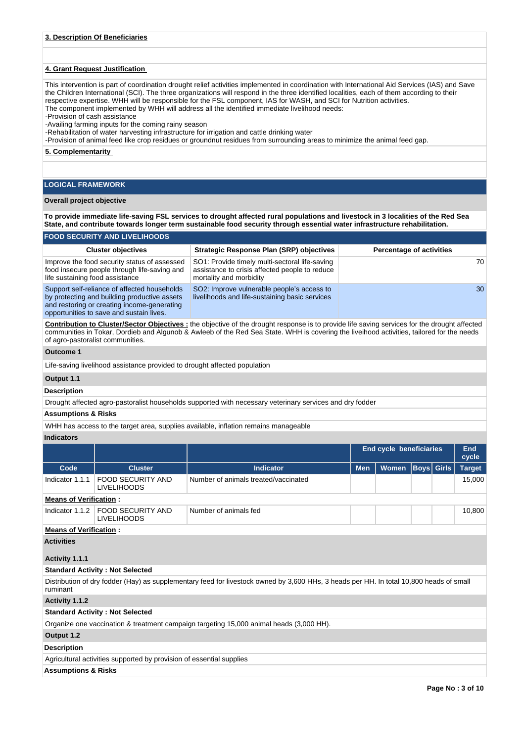## **4. Grant Request Justification**

This intervention is part of coordination drought relief activities implemented in coordination with International Aid Services (IAS) and Save the Children International (SCI). The three organizations will respond in the three identified localities, each of them according to their respective expertise. WHH will be responsible for the FSL component, IAS for WASH, and SCI for Nutrition activities. The component implemented by WHH will address all the identified immediate livelihood needs:

-Provision of cash assistance

-Availing farming inputs for the coming rainy season

-Rehabilitation of water harvesting infrastructure for irrigation and cattle drinking water

-Provision of animal feed like crop residues or groundnut residues from surrounding areas to minimize the animal feed gap.

**5. Complementarity** 

# **LOGICAL FRAMEWORK**

### **Overall project objective**

**To provide immediate life-saving FSL services to drought affected rural populations and livestock in 3 localities of the Red Sea State, and contribute towards longer term sustainable food security through essential water infrastructure rehabilitation.**

# **FOOD SECURITY AND LIVELIHOODS**

| <b>Cluster objectives</b>                                                                                                                                                               | Strategic Response Plan (SRP) objectives                                                                                    | <b>Percentage of activities</b> |
|-----------------------------------------------------------------------------------------------------------------------------------------------------------------------------------------|-----------------------------------------------------------------------------------------------------------------------------|---------------------------------|
| Improve the food security status of assessed<br>food insecure people through life-saving and<br>life sustaining food assistance                                                         | SO1: Provide timely multi-sectoral life-saving<br>assistance to crisis affected people to reduce<br>mortality and morbidity | 70                              |
| Support self-reliance of affected households<br>by protecting and building productive assets<br>and restoring or creating income-generating<br>opportunities to save and sustain lives. | SO2: Improve vulnerable people's access to<br>livelihoods and life-sustaining basic services                                | 30                              |

**Contribution to Cluster/Sector Objectives :** the objective of the drought response is to provide life saving services for the drought affected communities in Tokar, Dordieb and Algunob & Awleeb of the Red Sea State. WHH is covering the liveihood activities, tailored for the needs of agro-pastoralist communities.

## **Outcome 1**

Life-saving livelihood assistance provided to drought affected population

## **Output 1.1**

**Description**

Drought affected agro-pastoralist households supported with necessary veterinary services and dry fodder

# **Assumptions & Risks**

WHH has access to the target area, supplies available, inflation remains manageable

#### **Indicators**

|                                |                                                                      |                                                                                                                                         | End cycle beneficiaries |              |  | End<br>cycle      |               |  |  |  |
|--------------------------------|----------------------------------------------------------------------|-----------------------------------------------------------------------------------------------------------------------------------------|-------------------------|--------------|--|-------------------|---------------|--|--|--|
| Code                           | <b>Cluster</b>                                                       | <b>Indicator</b>                                                                                                                        | <b>Men</b>              | <b>Women</b> |  | <b>Boys</b> Girls | <b>Target</b> |  |  |  |
| Indicator 1.1.1                | <b>FOOD SECURITY AND</b><br><b>LIVELIHOODS</b>                       | Number of animals treated/vaccinated                                                                                                    |                         |              |  |                   | 15,000        |  |  |  |
| <b>Means of Verification:</b>  |                                                                      |                                                                                                                                         |                         |              |  |                   |               |  |  |  |
| Indicator 1.1.2                | <b>FOOD SECURITY AND</b><br><b>LIVELIHOODS</b>                       | Number of animals fed                                                                                                                   |                         |              |  |                   | 10,800        |  |  |  |
| <b>Means of Verification:</b>  |                                                                      |                                                                                                                                         |                         |              |  |                   |               |  |  |  |
| <b>Activities</b>              |                                                                      |                                                                                                                                         |                         |              |  |                   |               |  |  |  |
| Activity 1.1.1                 |                                                                      |                                                                                                                                         |                         |              |  |                   |               |  |  |  |
|                                | <b>Standard Activity: Not Selected</b>                               |                                                                                                                                         |                         |              |  |                   |               |  |  |  |
| ruminant                       |                                                                      | Distribution of dry fodder (Hay) as supplementary feed for livestock owned by 3,600 HHs, 3 heads per HH. In total 10,800 heads of small |                         |              |  |                   |               |  |  |  |
| Activity 1.1.2                 |                                                                      |                                                                                                                                         |                         |              |  |                   |               |  |  |  |
|                                | <b>Standard Activity: Not Selected</b>                               |                                                                                                                                         |                         |              |  |                   |               |  |  |  |
|                                |                                                                      | Organize one vaccination & treatment campaign targeting 15,000 animal heads (3,000 HH).                                                 |                         |              |  |                   |               |  |  |  |
| Output 1.2                     |                                                                      |                                                                                                                                         |                         |              |  |                   |               |  |  |  |
| <b>Description</b>             |                                                                      |                                                                                                                                         |                         |              |  |                   |               |  |  |  |
|                                | Agricultural activities supported by provision of essential supplies |                                                                                                                                         |                         |              |  |                   |               |  |  |  |
| <b>Assumptions &amp; Risks</b> |                                                                      |                                                                                                                                         |                         |              |  |                   |               |  |  |  |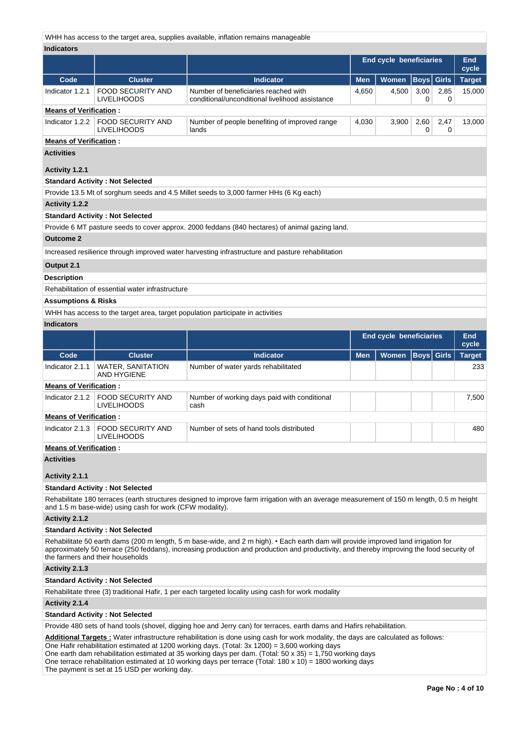WHH has access to the target area, supplies available, inflation remains manageable

| <b>Indicators</b>             |                                                          |                                                                                                                                                                                                                                                                                                                                                                                                                                                                      |                         |                                |                   |           |                     |
|-------------------------------|----------------------------------------------------------|----------------------------------------------------------------------------------------------------------------------------------------------------------------------------------------------------------------------------------------------------------------------------------------------------------------------------------------------------------------------------------------------------------------------------------------------------------------------|-------------------------|--------------------------------|-------------------|-----------|---------------------|
|                               |                                                          |                                                                                                                                                                                                                                                                                                                                                                                                                                                                      |                         | <b>End cycle beneficiaries</b> |                   |           | <b>End</b><br>cycle |
| Code                          | <b>Cluster</b>                                           | <b>Indicator</b>                                                                                                                                                                                                                                                                                                                                                                                                                                                     | <b>Men</b>              | <b>Women</b>                   | $ $ Boys $ $      | Girls     | <b>Target</b>       |
| Indicator 1.2.1               | <b>FOOD SECURITY AND</b><br><b>LIVELIHOODS</b>           | Number of beneficiaries reached with<br>conditional/unconditional livelihood assistance                                                                                                                                                                                                                                                                                                                                                                              | 4,650                   | 4,500                          | 3,00<br>0         | 2,85<br>0 | 15,000              |
| <b>Means of Verification:</b> |                                                          |                                                                                                                                                                                                                                                                                                                                                                                                                                                                      |                         |                                |                   |           |                     |
| Indicator 1.2.2               | <b>FOOD SECURITY AND</b><br><b>LIVELIHOODS</b>           | Number of people benefiting of improved range<br>lands                                                                                                                                                                                                                                                                                                                                                                                                               | 4,030                   | 3,900                          | 2,60<br>0         | 2,47<br>0 | 13,000              |
| <b>Means of Verification:</b> |                                                          |                                                                                                                                                                                                                                                                                                                                                                                                                                                                      |                         |                                |                   |           |                     |
| Activities                    |                                                          |                                                                                                                                                                                                                                                                                                                                                                                                                                                                      |                         |                                |                   |           |                     |
| Activity 1.2.1                |                                                          |                                                                                                                                                                                                                                                                                                                                                                                                                                                                      |                         |                                |                   |           |                     |
|                               | <b>Standard Activity: Not Selected</b>                   |                                                                                                                                                                                                                                                                                                                                                                                                                                                                      |                         |                                |                   |           |                     |
|                               |                                                          | Provide 13.5 Mt of sorghum seeds and 4.5 Millet seeds to 3,000 farmer HHs (6 Kg each)                                                                                                                                                                                                                                                                                                                                                                                |                         |                                |                   |           |                     |
| <b>Activity 1.2.2</b>         |                                                          |                                                                                                                                                                                                                                                                                                                                                                                                                                                                      |                         |                                |                   |           |                     |
|                               | <b>Standard Activity: Not Selected</b>                   |                                                                                                                                                                                                                                                                                                                                                                                                                                                                      |                         |                                |                   |           |                     |
|                               |                                                          | Provide 6 MT pasture seeds to cover approx. 2000 feddans (840 hectares) of animal gazing land.                                                                                                                                                                                                                                                                                                                                                                       |                         |                                |                   |           |                     |
| <b>Outcome 2</b>              |                                                          |                                                                                                                                                                                                                                                                                                                                                                                                                                                                      |                         |                                |                   |           |                     |
|                               |                                                          | Increased resilience through improved water harvesting infrastructure and pasture rehabilitation                                                                                                                                                                                                                                                                                                                                                                     |                         |                                |                   |           |                     |
| Output 2.1                    |                                                          |                                                                                                                                                                                                                                                                                                                                                                                                                                                                      |                         |                                |                   |           |                     |
| <b>Description</b>            |                                                          |                                                                                                                                                                                                                                                                                                                                                                                                                                                                      |                         |                                |                   |           |                     |
|                               | Rehabilitation of essential water infrastructure         |                                                                                                                                                                                                                                                                                                                                                                                                                                                                      |                         |                                |                   |           |                     |
| Assumptions & Risks           |                                                          |                                                                                                                                                                                                                                                                                                                                                                                                                                                                      |                         |                                |                   |           |                     |
|                               |                                                          | WHH has access to the target area, target population participate in activities                                                                                                                                                                                                                                                                                                                                                                                       |                         |                                |                   |           |                     |
| <b>Indicators</b>             |                                                          |                                                                                                                                                                                                                                                                                                                                                                                                                                                                      |                         |                                |                   |           |                     |
|                               |                                                          |                                                                                                                                                                                                                                                                                                                                                                                                                                                                      | End cycle beneficiaries |                                |                   |           | <b>End</b><br>cycle |
| Code                          | <b>Cluster</b>                                           | <b>Indicator</b>                                                                                                                                                                                                                                                                                                                                                                                                                                                     | <b>Men</b>              | Women                          | <b>Boys</b> Girls |           | <b>Target</b>       |
| Indicator 2.1.1               | <b>WATER, SANITATION</b><br>AND HYGIENE                  | Number of water yards rehabilitated                                                                                                                                                                                                                                                                                                                                                                                                                                  |                         |                                |                   |           | 233                 |
| <b>Means of Verification:</b> |                                                          |                                                                                                                                                                                                                                                                                                                                                                                                                                                                      |                         |                                |                   |           |                     |
| Indicator 2.1.2               | <b>FOOD SECURITY AND</b><br><b>LIVELIHOODS</b>           | Number of working days paid with conditional<br>cash                                                                                                                                                                                                                                                                                                                                                                                                                 |                         |                                |                   |           | 7,500               |
| <b>Means of Verification:</b> |                                                          |                                                                                                                                                                                                                                                                                                                                                                                                                                                                      |                         |                                |                   |           |                     |
| Indicator 2.1.3               | <b>FOOD SECURITY AND</b><br><b>LIVELIHOODS</b>           | Number of sets of hand tools distributed                                                                                                                                                                                                                                                                                                                                                                                                                             |                         |                                |                   |           | 480                 |
| <b>Means of Verification:</b> |                                                          |                                                                                                                                                                                                                                                                                                                                                                                                                                                                      |                         |                                |                   |           |                     |
| Activities                    |                                                          |                                                                                                                                                                                                                                                                                                                                                                                                                                                                      |                         |                                |                   |           |                     |
| Activity 2.1.1                |                                                          |                                                                                                                                                                                                                                                                                                                                                                                                                                                                      |                         |                                |                   |           |                     |
|                               | <b>Standard Activity: Not Selected</b>                   |                                                                                                                                                                                                                                                                                                                                                                                                                                                                      |                         |                                |                   |           |                     |
|                               | and 1.5 m base-wide) using cash for work (CFW modality). | Rehabilitate 180 terraces (earth structures designed to improve farm irrigation with an average measurement of 150 m length, 0.5 m height                                                                                                                                                                                                                                                                                                                            |                         |                                |                   |           |                     |
| Activity 2.1.2                |                                                          |                                                                                                                                                                                                                                                                                                                                                                                                                                                                      |                         |                                |                   |           |                     |
|                               | <b>Standard Activity: Not Selected</b>                   |                                                                                                                                                                                                                                                                                                                                                                                                                                                                      |                         |                                |                   |           |                     |
|                               | the farmers and their households                         | Rehabilitate 50 earth dams (200 m length, 5 m base-wide, and 2 m high). • Each earth dam will provide improved land irrigation for<br>approximately 50 terrace (250 feddans), increasing production and production and productivity, and thereby improving the food security of                                                                                                                                                                                      |                         |                                |                   |           |                     |
| Activity 2.1.3                |                                                          |                                                                                                                                                                                                                                                                                                                                                                                                                                                                      |                         |                                |                   |           |                     |
|                               | <b>Standard Activity: Not Selected</b>                   |                                                                                                                                                                                                                                                                                                                                                                                                                                                                      |                         |                                |                   |           |                     |
|                               |                                                          | Rehabilitate three (3) traditional Hafir, 1 per each targeted locality using cash for work modality                                                                                                                                                                                                                                                                                                                                                                  |                         |                                |                   |           |                     |
| Activity 2.1.4                |                                                          |                                                                                                                                                                                                                                                                                                                                                                                                                                                                      |                         |                                |                   |           |                     |
|                               | <b>Standard Activity: Not Selected</b>                   |                                                                                                                                                                                                                                                                                                                                                                                                                                                                      |                         |                                |                   |           |                     |
|                               |                                                          | Provide 480 sets of hand tools (shovel, digging hoe and Jerry can) for terraces, earth dams and Hafirs rehabilitation.                                                                                                                                                                                                                                                                                                                                               |                         |                                |                   |           |                     |
|                               |                                                          | Additional Targets: Water infrastructure rehabilitation is done using cash for work modality, the days are calculated as follows:<br>One Hafir rehabilitation estimated at 1200 working days. (Total: 3x 1200) = 3,600 working days<br>One earth dam rehabilitation estimated at 35 working days per dam. (Total: 50 x 35) = 1,750 working days<br>One terrace rehabilitation estimated at 10 working days per terrace (Total: $180 \times 10$ ) = 1800 working days |                         |                                |                   |           |                     |

The payment is set at 15 USD per working day.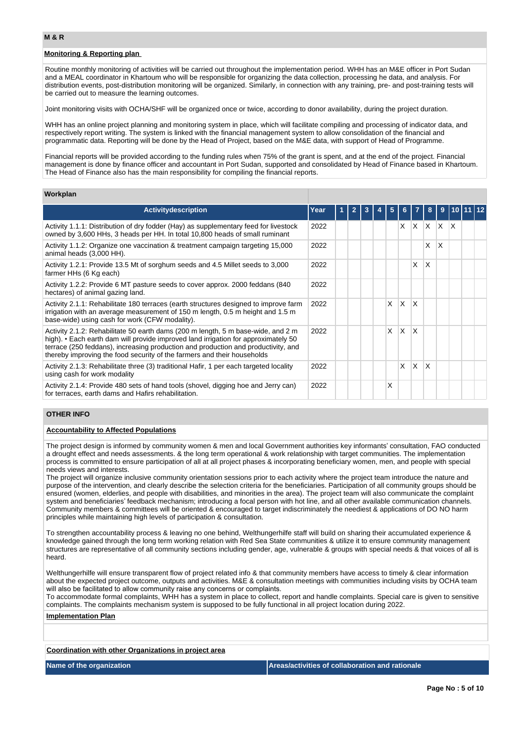#### **Monitoring & Reporting plan**

Routine monthly monitoring of activities will be carried out throughout the implementation period. WHH has an M&E officer in Port Sudan and a MEAL coordinator in Khartoum who will be responsible for organizing the data collection, processing he data, and analysis. For distribution events, post-distribution monitoring will be organized. Similarly, in connection with any training, pre- and post-training tests will be carried out to measure the learning outcomes.

Joint monitoring visits with OCHA/SHF will be organized once or twice, according to donor availability, during the project duration.

WHH has an online project planning and monitoring system in place, which will facilitate compiling and processing of indicator data, and respectively report writing. The system is linked with the financial management system to allow consolidation of the financial and programmatic data. Reporting will be done by the Head of Project, based on the M&E data, with support of Head of Programme.

Financial reports will be provided according to the funding rules when 75% of the grant is spent, and at the end of the project. Financial management is done by finance officer and accountant in Port Sudan, supported and consolidated by Head of Finance based in Khartoum. The Head of Finance also has the main responsibility for compiling the financial reports.

#### **Workplan**

| <b>Activity description</b>                                                                                                                                                                                                                                                                                                            | Year |  |  | 5 | 6.                      |              | 8 | 9               |  |  |
|----------------------------------------------------------------------------------------------------------------------------------------------------------------------------------------------------------------------------------------------------------------------------------------------------------------------------------------|------|--|--|---|-------------------------|--------------|---|-----------------|--|--|
| Activity 1.1.1: Distribution of dry fodder (Hay) as supplementary feed for livestock<br>owned by 3,600 HHs, 3 heads per HH. In total 10,800 heads of small ruminant                                                                                                                                                                    | 2022 |  |  |   | $\times$                |              |   | $X$ $X$ $X$ $X$ |  |  |
| Activity 1.1.2: Organize one vaccination & treatment campaign targeting 15,000<br>animal heads (3,000 HH).                                                                                                                                                                                                                             | 2022 |  |  |   |                         |              | X | $\mathsf{X}$    |  |  |
| Activity 1.2.1: Provide 13.5 Mt of sorghum seeds and 4.5 Millet seeds to 3,000<br>farmer HHs (6 Kg each)                                                                                                                                                                                                                               | 2022 |  |  |   |                         | X            | X |                 |  |  |
| Activity 1.2.2: Provide 6 MT pasture seeds to cover approx. 2000 feddans (840)<br>hectares) of animal gazing land.                                                                                                                                                                                                                     | 2022 |  |  |   |                         |              |   |                 |  |  |
| Activity 2.1.1: Rehabilitate 180 terraces (earth structures designed to improve farm<br>irrigation with an average measurement of 150 m length, 0.5 m height and 1.5 m<br>base-wide) using cash for work (CFW modality).                                                                                                               | 2022 |  |  | x | X                       | ΙX           |   |                 |  |  |
| Activity 2.1.2: Rehabilitate 50 earth dams (200 m length, 5 m base-wide, and 2 m<br>high). • Each earth dam will provide improved land irrigation for approximately 50<br>terrace (250 feddans), increasing production and production and productivity, and<br>thereby improving the food security of the farmers and their households | 2022 |  |  | X | $\overline{\mathsf{x}}$ | $\mathsf{x}$ |   |                 |  |  |
| Activity 2.1.3: Rehabilitate three (3) traditional Hafir, 1 per each targeted locality<br>using cash for work modality                                                                                                                                                                                                                 | 2022 |  |  |   | X                       | X.           | X |                 |  |  |
| Activity 2.1.4: Provide 480 sets of hand tools (shovel, digging hoe and Jerry can)<br>for terraces, earth dams and Hafirs rehabilitation.                                                                                                                                                                                              | 2022 |  |  | Χ |                         |              |   |                 |  |  |

# **OTHER INFO**

# **Accountability to Affected Populations**

The project design is informed by community women & men and local Government authorities key informants' consultation, FAO conducted a drought effect and needs assessments. & the long term operational & work relationship with target communities. The implementation process is committed to ensure participation of all at all project phases & incorporating beneficiary women, men, and people with special needs views and interests.

The project will organize inclusive community orientation sessions prior to each activity where the project team introduce the nature and purpose of the intervention, and clearly describe the selection criteria for the beneficiaries. Participation of all community groups should be ensured (women, elderlies, and people with disabilities, and minorities in the area). The project team will also communicate the complaint system and beneficiaries' feedback mechanism; introducing a focal person with hot line, and all other available communication channels. Community members & committees will be oriented & encouraged to target indiscriminately the neediest & applications of DO NO harm principles while maintaining high levels of participation & consultation.

To strengthen accountability process & leaving no one behind, Welthungerhilfe staff will build on sharing their accumulated experience & knowledge gained through the long term working relation with Red Sea State communities & utilize it to ensure community management structures are representative of all community sections including gender, age, vulnerable & groups with special needs & that voices of all is heard.

Welthungerhilfe will ensure transparent flow of project related info & that community members have access to timely & clear information about the expected project outcome, outputs and activities. M&E & consultation meetings with communities including visits by OCHA team will also be facilitated to allow community raise any concerns or complaints.

To accommodate formal complaints, WHH has a system in place to collect, report and handle complaints. Special care is given to sensitive complaints. The complaints mechanism system is supposed to be fully functional in all project location during 2022.

# **Implementation Plan**

**Coordination with other Organizations in project area**

**Name of the organization Areas/activities of collaboration and rationale**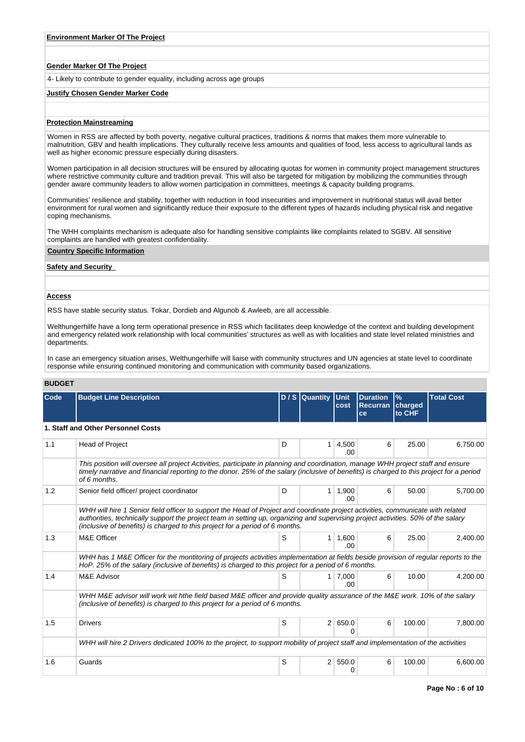### **Gender Marker Of The Project**

4- Likely to contribute to gender equality, including across age groups

#### **Justify Chosen Gender Marker Code**

### **Protection Mainstreaming**

Women in RSS are affected by both poverty, negative cultural practices, traditions & norms that makes them more vulnerable to malnutrition, GBV and health implications. They culturally receive less amounts and qualities of food, less access to agricultural lands as well as higher economic pressure especially during disasters.

Women participation in all decision structures will be ensured by allocating quotas for women in community project management structures where restrictive community culture and tradition prevail. This will also be targeted for mitigation by mobilizing the communities through gender aware community leaders to allow women participation in committees, meetings & capacity building programs.

Communities' resilience and stability, together with reduction in food insecurities and improvement in nutritional status will avail better environment for rural women and significantly reduce their exposure to the different types of hazards including physical risk and negative coping mechanisms.

The WHH complaints mechanism is adequate also for handling sensitive complaints like complaints related to SGBV. All sensitive complaints are handled with greatest confidentiality.

# **Country Specific Information**

## **Safety and Security**

#### **Access**

RSS have stable security status. Tokar, Dordieb and Algunob & Awleeb, are all accessible.

Welthungerhilfe have a long term operational presence in RSS which facilitates deep knowledge of the context and building development and emergency related work relationship with local communities' structures as well as with localities and state level related ministries and departments.

In case an emergency situation arises, Welthungerhilfe will liaise with community structures and UN agencies at state level to coordinate response while ensuring continued monitoring and communication with community based organizations.

# **BUDGET**

| Code | <b>Budget Line Description</b>                                                                                                                                                                                                                                                                                                                       |   | $D / S$ Quantity | <b>Unit</b><br>cost | <b>Duration</b><br><b>Recurran</b> | $\%$<br>charged | <b>Total Cost</b> |
|------|------------------------------------------------------------------------------------------------------------------------------------------------------------------------------------------------------------------------------------------------------------------------------------------------------------------------------------------------------|---|------------------|---------------------|------------------------------------|-----------------|-------------------|
|      |                                                                                                                                                                                                                                                                                                                                                      |   |                  |                     | ce                                 | to CHF          |                   |
|      | 1. Staff and Other Personnel Costs                                                                                                                                                                                                                                                                                                                   |   |                  |                     |                                    |                 |                   |
| 1.1  | <b>Head of Project</b>                                                                                                                                                                                                                                                                                                                               | D | 1                | 4,500<br>.00.       | 6                                  | 25.00           | 6,750.00          |
|      | This position will oversee all project Activities, participate in planning and coordination, manage WHH project staff and ensure<br>timely narrative and financial reporting to the donor. 25% of the salary (inclusive of benefits) is charged to this project for a period<br>of 6 months.                                                         |   |                  |                     |                                    |                 |                   |
| 1.2  | Senior field officer/ project coordinator                                                                                                                                                                                                                                                                                                            | D | 1                | 1,900<br>.00.       | 6                                  | 50.00           | 5,700.00          |
|      | WHH will hire 1 Senior field officer to support the Head of Project and coordinate project activities, communicate with related<br>authorities, technically support the project team in setting up, organizing and supervising project activities. 50% of the salary<br>(inclusive of benefits) is charged to this project for a period of 6 months. |   |                  |                     |                                    |                 |                   |
| 1.3  | M&E Officer                                                                                                                                                                                                                                                                                                                                          | S | 1                | 1,600<br>.00        | 6                                  | 25.00           | 2.400.00          |
|      | WHH has 1 M&E Officer for the montitoring of projects activities implementation at fields beside provision of regular reports to the<br>HoP. 25% of the salary (inclusive of benefits) is charged to this project for a period of 6 months.                                                                                                          |   |                  |                     |                                    |                 |                   |
| 1.4  | M&E Advisor                                                                                                                                                                                                                                                                                                                                          | S | 1.               | 7.000<br>.00.       | 6                                  | 10.00           | 4,200.00          |
|      | WHH M&E advisor will work wit hthe field based M&E officer and provide quality assurance of the M&E work. 10% of the salary<br>(inclusive of benefits) is charged to this project for a period of 6 months.                                                                                                                                          |   |                  |                     |                                    |                 |                   |
| 1.5  | <b>Drivers</b>                                                                                                                                                                                                                                                                                                                                       | S | 2 <sup>1</sup>   | 650.0               | 6                                  | 100.00          | 7,800.00          |
|      | WHH will hire 2 Drivers dedicated 100% to the project, to support mobility of project staff and implementation of the activities                                                                                                                                                                                                                     |   |                  |                     |                                    |                 |                   |
| 1.6  | Guards                                                                                                                                                                                                                                                                                                                                               | S | $\overline{2}$   | 550.0<br>0          | 6                                  | 100.00          | 6,600.00          |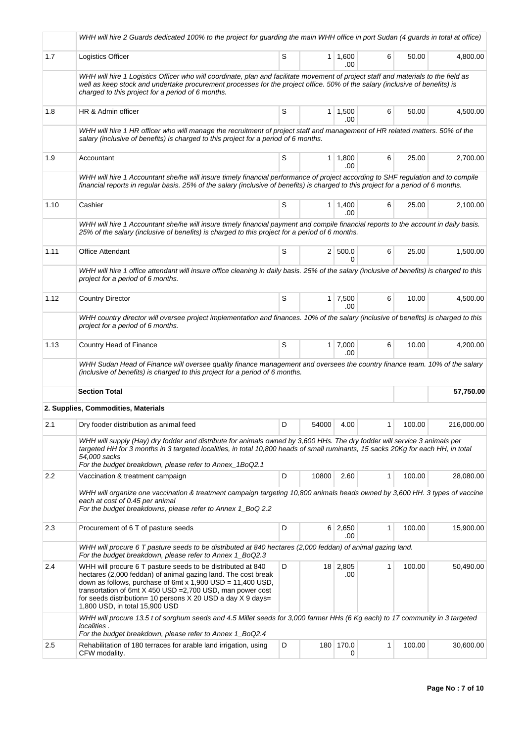|      | WHH will hire 2 Guards dedicated 100% to the project for guarding the main WHH office in port Sudan (4 guards in total at office)                                                                                                                                                                                                                                   |   |       |                       |   |        |            |
|------|---------------------------------------------------------------------------------------------------------------------------------------------------------------------------------------------------------------------------------------------------------------------------------------------------------------------------------------------------------------------|---|-------|-----------------------|---|--------|------------|
| 1.7  | Logistics Officer                                                                                                                                                                                                                                                                                                                                                   | S |       | $1 \mid 1,600$<br>.00 | 6 | 50.00  | 4,800.00   |
|      | WHH will hire 1 Logistics Officer who will coordinate, plan and facilitate movement of project staff and materials to the field as<br>well as keep stock and undertake procurement processes for the project office. 50% of the salary (inclusive of benefits) is<br>charged to this project for a period of 6 months.                                              |   |       |                       |   |        |            |
| 1.8  | HR & Admin officer                                                                                                                                                                                                                                                                                                                                                  | S |       | $1 \mid 1,500$<br>.00 | 6 | 50.00  | 4,500.00   |
|      | WHH will hire 1 HR officer who will manage the recruitment of project staff and management of HR related matters. 50% of the<br>salary (inclusive of benefits) is charged to this project for a period of 6 months.                                                                                                                                                 |   |       |                       |   |        |            |
| 1.9  | Accountant                                                                                                                                                                                                                                                                                                                                                          | S |       | $1 \mid 1,800$<br>.00 | 6 | 25.00  | 2,700.00   |
|      | WHH will hire 1 Accountant she/he will insure timely financial performance of project according to SHF regulation and to compile<br>financial reports in regular basis. 25% of the salary (inclusive of benefits) is charged to this project for a period of 6 months.                                                                                              |   |       |                       |   |        |            |
| 1.10 | Cashier                                                                                                                                                                                                                                                                                                                                                             | S |       | $1 \mid 1,400$<br>.00 | 6 | 25.00  | 2,100.00   |
|      | WHH will hire 1 Accountant she/he will insure timely financial payment and compile financial reports to the account in daily basis.<br>25% of the salary (inclusive of benefits) is charged to this project for a period of 6 months.                                                                                                                               |   |       |                       |   |        |            |
| 1.11 | <b>Office Attendant</b>                                                                                                                                                                                                                                                                                                                                             | S |       | 2   500.0<br>U.       | 6 | 25.00  | 1,500.00   |
|      | WHH will hire 1 office attendant will insure office cleaning in daily basis. 25% of the salary (inclusive of benefits) is charged to this<br>project for a period of 6 months.                                                                                                                                                                                      |   |       |                       |   |        |            |
| 1.12 | <b>Country Director</b>                                                                                                                                                                                                                                                                                                                                             | S |       | $1 \mid 7,500$<br>.00 | 6 | 10.00  | 4,500.00   |
|      | WHH country director will oversee project implementation and finances. 10% of the salary (inclusive of benefits) is charged to this<br>project for a period of 6 months.                                                                                                                                                                                            |   |       |                       |   |        |            |
| 1.13 | Country Head of Finance                                                                                                                                                                                                                                                                                                                                             | S |       | $1 \mid 7,000$<br>.00 | 6 | 10.00  | 4,200.00   |
|      | WHH Sudan Head of Finance will oversee quality finance management and oversees the country finance team. 10% of the salary<br>(inclusive of benefits) is charged to this project for a period of 6 months.                                                                                                                                                          |   |       |                       |   |        |            |
|      | <b>Section Total</b>                                                                                                                                                                                                                                                                                                                                                |   |       |                       |   |        | 57,750.00  |
|      | 2. Supplies, Commodities, Materials                                                                                                                                                                                                                                                                                                                                 |   |       |                       |   |        |            |
| 2.1  | Dry fooder distribution as animal feed                                                                                                                                                                                                                                                                                                                              | D | 54000 | 4.00                  |   | 100.00 | 216,000.00 |
|      | WHH will supply (Hay) dry fodder and distribute for animals owned by 3,600 HHs. The dry fodder will service 3 animals per<br>targeted HH for 3 months in 3 targeted localities, in total 10,800 heads of small ruminants, 15 sacks 20Kg for each HH, in total<br>54,000 sacks<br>For the budget breakdown, please refer to Annex_1BoQ2.1                            |   |       |                       |   |        |            |
| 2.2  | Vaccination & treatment campaign                                                                                                                                                                                                                                                                                                                                    | D | 10800 | 2.60                  | 1 | 100.00 | 28,080.00  |
|      | WHH will organize one vaccination & treatment campaign targeting 10,800 animals heads owned by 3,600 HH. 3 types of vaccine<br>each at cost of 0.45 per animal<br>For the budget breakdowns, please refer to Annex 1_BoQ 2.2                                                                                                                                        |   |       |                       |   |        |            |
| 2.3  | Procurement of 6 T of pasture seeds                                                                                                                                                                                                                                                                                                                                 | D |       | 6 2,650<br>.00        | 1 | 100.00 | 15,900.00  |
|      | WHH will procure 6 T pasture seeds to be distributed at 840 hectares (2,000 feddan) of animal gazing land.<br>For the budget breakdown, please refer to Annex 1_BoQ2.3                                                                                                                                                                                              |   |       |                       |   |        |            |
| 2.4  | WHH will procure 6 T pasture seeds to be distributed at 840<br>hectares (2,000 feddan) of animal gazing land. The cost break<br>down as follows, purchase of 6mt x $1,900$ USD = $11,400$ USD,<br>transortation of 6mt $X$ 450 USD = 2,700 USD, man power cost<br>for seeds distribution= 10 persons $X$ 20 USD a day $X$ 9 days=<br>1,800 USD, in total 15,900 USD | D |       | $18$ 2,805<br>.00     | 1 | 100.00 | 50,490.00  |
|      | WHH will procure 13.5 t of sorghum seeds and 4.5 Millet seeds for 3,000 farmer HHs (6 Kg each) to 17 community in 3 targeted<br>localities.<br>For the budget breakdown, please refer to Annex 1_BoQ2.4                                                                                                                                                             |   |       |                       |   |        |            |
| 2.5  | Rehabilitation of 180 terraces for arable land irrigation, using<br>CFW modality.                                                                                                                                                                                                                                                                                   | D |       | 180 170.0<br>0        | 1 | 100.00 | 30,600.00  |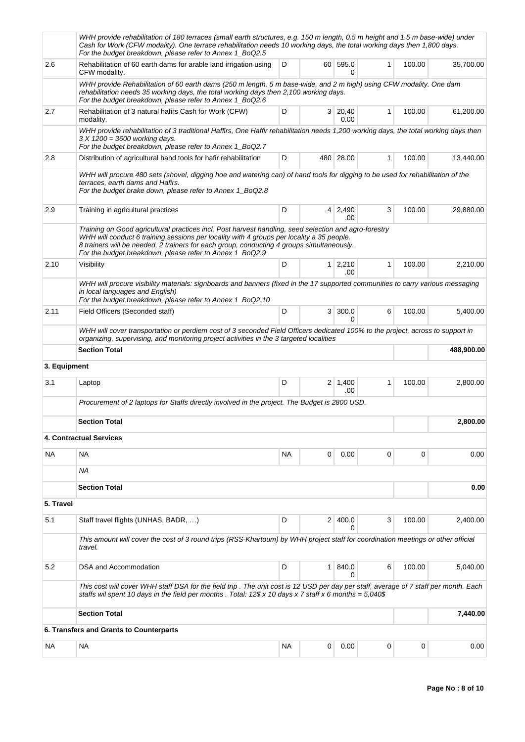|              | WHH provide rehabilitation of 180 terraces (small earth structures, e.g. 150 m length, 0.5 m height and 1.5 m base-wide) under<br>Cash for Work (CFW modality). One terrace rehabilitation needs 10 working days, the total working days then 1,800 days.<br>For the budget breakdown, please refer to Annex 1_BoQ2.5                                       |    |                |                        |              |        |            |
|--------------|-------------------------------------------------------------------------------------------------------------------------------------------------------------------------------------------------------------------------------------------------------------------------------------------------------------------------------------------------------------|----|----------------|------------------------|--------------|--------|------------|
| 2.6          | Rehabilitation of 60 earth dams for arable land irrigation using<br>CFW modality.                                                                                                                                                                                                                                                                           | D  | 60             | 595.0<br>0             | 1            | 100.00 | 35,700.00  |
|              | WHH provide Rehabilitation of 60 earth dams (250 m length, 5 m base-wide, and 2 m high) using CFW modality. One dam<br>rehabilitation needs 35 working days, the total working days then 2,100 working days.<br>For the budget breakdown, please refer to Annex 1_BoQ2.6                                                                                    |    |                |                        |              |        |            |
| 2.7          | Rehabilitation of 3 natural hafirs Cash for Work (CFW)<br>modality.                                                                                                                                                                                                                                                                                         | D  |                | 3 20,40<br>0.00        | 1            | 100.00 | 61,200.00  |
|              | WHH provide rehabilitation of 3 traditional Haffirs, One Haffir rehabilitation needs 1,200 working days, the total working days then<br>3 X 1200 = 3600 working days.<br>For the budget breakdown, please refer to Annex 1_BoQ2.7                                                                                                                           |    |                |                        |              |        |            |
| 2.8          | Distribution of agricultural hand tools for hafir rehabilitation                                                                                                                                                                                                                                                                                            | D  |                | 480 28.00              | $\mathbf{1}$ | 100.00 | 13,440.00  |
|              | WHH will procure 480 sets (shovel, digging hoe and watering can) of hand tools for digging to be used for rehabilitation of the<br>terraces, earth dams and Hafirs.<br>For the budget brake down, please refer to Annex 1_BoQ2.8                                                                                                                            |    |                |                        |              |        |            |
| 2.9          | Training in agricultural practices                                                                                                                                                                                                                                                                                                                          | D  |                | $4 \mid 2,490$<br>.00  | 3            | 100.00 | 29,880.00  |
|              | Training on Good agricultural practices incl. Post harvest handling, seed selection and agro-forestry<br>WHH will conduct 6 training sessions per locality with 4 groups per locality a 35 people.<br>8 trainers will be needed, 2 trainers for each group, conducting 4 groups simultaneously.<br>For the budget breakdown, please refer to Annex 1_BoQ2.9 |    |                |                        |              |        |            |
| 2.10         | Visibility                                                                                                                                                                                                                                                                                                                                                  | D  |                | $1 \mid 2,210$<br>.00. | 1            | 100.00 | 2,210.00   |
|              | WHH will procure visibility materials: signboards and banners (fixed in the 17 supported communities to carry various messaging<br>in local languages and English)<br>For the budget breakdown, please refer to Annex 1_BoQ2.10                                                                                                                             |    |                |                        |              |        |            |
| 2.11         | Field Officers (Seconded staff)                                                                                                                                                                                                                                                                                                                             | D  | 3 <sup>1</sup> | 300.0<br>0             | 6            | 100.00 | 5,400.00   |
|              | WHH will cover transportation or perdiem cost of 3 seconded Field Officers dedicated 100% to the project, across to support in<br>organizing, supervising, and monitoring project activities in the 3 targeted localities                                                                                                                                   |    |                |                        |              |        |            |
|              | <b>Section Total</b>                                                                                                                                                                                                                                                                                                                                        |    |                |                        |              |        | 488,900.00 |
| 3. Equipment |                                                                                                                                                                                                                                                                                                                                                             |    |                |                        |              |        |            |
| 3.1          | Laptop                                                                                                                                                                                                                                                                                                                                                      | D  |                | $2 \mid 1,400$<br>.00  | $\mathbf{1}$ | 100.00 | 2,800.00   |
|              | Procurement of 2 laptops for Staffs directly involved in the project. The Budget is 2800 USD.                                                                                                                                                                                                                                                               |    |                |                        |              |        |            |
|              | <b>Section Total</b>                                                                                                                                                                                                                                                                                                                                        |    |                |                        |              |        | 2,800.00   |
|              | <b>4. Contractual Services</b>                                                                                                                                                                                                                                                                                                                              |    |                |                        |              |        |            |
| NА           | NA.                                                                                                                                                                                                                                                                                                                                                         | NА | 0              | 0.00                   | 0            | 0      | 0.00       |
|              | ΝA                                                                                                                                                                                                                                                                                                                                                          |    |                |                        |              |        |            |
|              | <b>Section Total</b>                                                                                                                                                                                                                                                                                                                                        |    |                |                        |              |        | 0.00       |
| 5. Travel    |                                                                                                                                                                                                                                                                                                                                                             |    |                |                        |              |        |            |
| 5.1          | Staff travel flights (UNHAS, BADR, )                                                                                                                                                                                                                                                                                                                        | D  |                | 2 400.0<br>0           | 3            | 100.00 | 2,400.00   |
|              | This amount will cover the cost of 3 round trips (RSS-Khartoum) by WHH project staff for coordination meetings or other official<br>travel.                                                                                                                                                                                                                 |    |                |                        |              |        |            |
| 5.2          | DSA and Accommodation                                                                                                                                                                                                                                                                                                                                       | D  | 1              | 840.0<br>0             | 6            | 100.00 | 5,040.00   |
|              | This cost will cover WHH staff DSA for the field trip. The unit cost is 12 USD per day per staff, average of 7 staff per month. Each<br>staffs wil spent 10 days in the field per months . Total: 12\$ x 10 days x 7 staff x 6 months = $5,040$ \$                                                                                                          |    |                |                        |              |        |            |
|              | <b>Section Total</b>                                                                                                                                                                                                                                                                                                                                        |    |                |                        |              |        | 7,440.00   |
|              | 6. Transfers and Grants to Counterparts                                                                                                                                                                                                                                                                                                                     |    |                |                        |              |        |            |
| NA           | ΝA                                                                                                                                                                                                                                                                                                                                                          | NA | 0              | 0.00                   | 0            | 0      | 0.00       |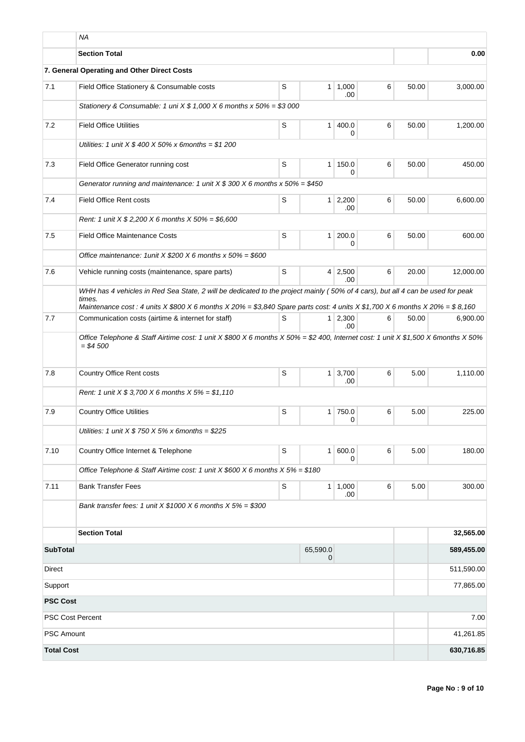|                         | <b>NA</b>                                                                                                                                                                                                                                                                 |             |                            |                        |   |       |            |
|-------------------------|---------------------------------------------------------------------------------------------------------------------------------------------------------------------------------------------------------------------------------------------------------------------------|-------------|----------------------------|------------------------|---|-------|------------|
|                         | <b>Section Total</b>                                                                                                                                                                                                                                                      |             |                            |                        |   |       | 0.00       |
|                         | 7. General Operating and Other Direct Costs                                                                                                                                                                                                                               |             |                            |                        |   |       |            |
| 7.1                     | Field Office Stationery & Consumable costs                                                                                                                                                                                                                                | S           | 1 <sup>1</sup>             | 1,000<br>.00           | 6 | 50.00 | 3,000.00   |
|                         | Stationery & Consumable: 1 uni $X$ \$ 1,000 X 6 months x 50% = \$3 000                                                                                                                                                                                                    |             |                            |                        |   |       |            |
| 7.2                     | <b>Field Office Utilities</b>                                                                                                                                                                                                                                             | S           | 1 <sup>1</sup>             | 400.0<br>0             | 6 | 50.00 | 1,200.00   |
|                         | Utilities: 1 unit $X $ 400 X 50\% x 6 months = $1 200$                                                                                                                                                                                                                    |             |                            |                        |   |       |            |
| 7.3                     | Field Office Generator running cost                                                                                                                                                                                                                                       | S           | 1 <sup>1</sup>             | 150.0<br>0             | 6 | 50.00 | 450.00     |
|                         | Generator running and maintenance: 1 unit $X $ 300 X 6$ months $x 50\% = $450$                                                                                                                                                                                            |             |                            |                        |   |       |            |
| 7.4                     | <b>Field Office Rent costs</b>                                                                                                                                                                                                                                            | S           |                            | $1 \mid 2,200$<br>.00  | 6 | 50.00 | 6,600.00   |
|                         | Rent: 1 unit $X $ 2,200 X 6$ months $X 50\% = $6,600$                                                                                                                                                                                                                     |             |                            |                        |   |       |            |
| 7.5                     | <b>Field Office Maintenance Costs</b>                                                                                                                                                                                                                                     | S           | 1 <sup>1</sup>             | 200.0<br>0             | 6 | 50.00 | 600.00     |
|                         | Office maintenance: 1 unit $X$ \$200 $X$ 6 months $x$ 50% = \$600                                                                                                                                                                                                         |             |                            |                        |   |       |            |
| 7.6                     | Vehicle running costs (maintenance, spare parts)                                                                                                                                                                                                                          | S           |                            | $4 \mid 2,500$<br>.00  | 6 | 20.00 | 12,000.00  |
|                         | WHH has 4 vehicles in Red Sea State, 2 will be dedicated to the project mainly (50% of 4 cars), but all 4 can be used for peak<br>times.<br>Maintenance cost : 4 units X \$800 X 6 months X 20% = \$3,840 Spare parts cost: 4 units X \$1,700 X 6 months X 20% = \$ 8,160 |             |                            |                        |   |       |            |
| 7.7                     | Communication costs (airtime & internet for staff)                                                                                                                                                                                                                        | S           |                            | $1 \mid 2,300$<br>.00. | 6 | 50.00 | 6,900.00   |
|                         | Office Telephone & Staff Airtime cost: 1 unit X \$800 X 6 months X 50% = \$2 400, Internet cost: 1 unit X \$1,500 X 6months X 50%<br>$= $4,500$                                                                                                                           |             |                            |                        |   |       |            |
| 7.8                     | <b>Country Office Rent costs</b>                                                                                                                                                                                                                                          | S           | 1 <sup>1</sup>             | 3,700<br>.00           | 6 | 5.00  | 1,110.00   |
|                         | Rent: 1 unit $X $ 3,700 X 6$ months $X 5% = $1,110$                                                                                                                                                                                                                       |             |                            |                        |   |       |            |
| 7.9                     | <b>Country Office Utilities</b>                                                                                                                                                                                                                                           | S           | 1 <sup>1</sup>             | 750.0<br>0             | 6 | 5.00  | 225.00     |
|                         | Utilities: 1 unit $X$ \$ 750 $X$ 5% $x$ 6 months = \$225                                                                                                                                                                                                                  |             |                            |                        |   |       |            |
| 7.10                    | Country Office Internet & Telephone                                                                                                                                                                                                                                       | S           | 1 <sup>1</sup>             | 600.0<br>0             | 6 | 5.00  | 180.00     |
|                         | Office Telephone & Staff Airtime cost: 1 unit X \$600 X 6 months $X 5% = $180$                                                                                                                                                                                            |             |                            |                        |   |       |            |
| 7.11                    | <b>Bank Transfer Fees</b>                                                                                                                                                                                                                                                 | $\mathbf S$ |                            | 1   1,000<br>.00       | 6 | 5.00  | 300.00     |
|                         | Bank transfer fees: 1 unit $X $1000 X 6$ months $X 5% = $300$                                                                                                                                                                                                             |             |                            |                        |   |       |            |
|                         | <b>Section Total</b>                                                                                                                                                                                                                                                      |             |                            |                        |   |       | 32,565.00  |
| <b>SubTotal</b>         |                                                                                                                                                                                                                                                                           |             | 65,590.0<br>$\overline{0}$ |                        |   |       | 589,455.00 |
| Direct                  |                                                                                                                                                                                                                                                                           |             |                            |                        |   |       | 511,590.00 |
| Support                 |                                                                                                                                                                                                                                                                           |             |                            |                        |   |       | 77,865.00  |
| <b>PSC Cost</b>         |                                                                                                                                                                                                                                                                           |             |                            |                        |   |       |            |
| <b>PSC Cost Percent</b> |                                                                                                                                                                                                                                                                           |             |                            |                        |   |       | 7.00       |
| <b>PSC Amount</b>       |                                                                                                                                                                                                                                                                           |             |                            |                        |   |       | 41,261.85  |
| <b>Total Cost</b>       |                                                                                                                                                                                                                                                                           |             |                            |                        |   |       | 630,716.85 |